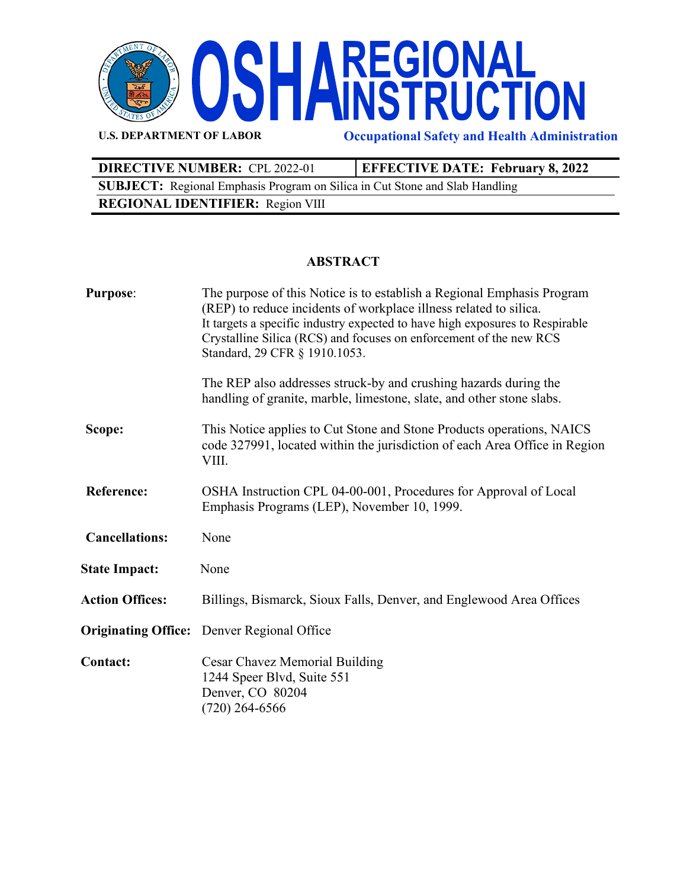

**U.S. DEPARTMENT OF LABOR Occupational Safety and Health Administration**

| <b>DIRECTIVE NUMBER: CPL 2022-01</b>                                               | <b>EFFECTIVE DATE: February 8, 2022</b> |  |
|------------------------------------------------------------------------------------|-----------------------------------------|--|
| <b>SUBJECT:</b> Regional Emphasis Program on Silica in Cut Stone and Slab Handling |                                         |  |
| <b>REGIONAL IDENTIFIER:</b> Region VIII                                            |                                         |  |

## **ABSTRACT**

| <b>Purpose:</b>        | The purpose of this Notice is to establish a Regional Emphasis Program<br>(REP) to reduce incidents of workplace illness related to silica.<br>It targets a specific industry expected to have high exposures to Respirable<br>Crystalline Silica (RCS) and focuses on enforcement of the new RCS<br>Standard, 29 CFR § 1910.1053. |
|------------------------|------------------------------------------------------------------------------------------------------------------------------------------------------------------------------------------------------------------------------------------------------------------------------------------------------------------------------------|
|                        | The REP also addresses struck-by and crushing hazards during the<br>handling of granite, marble, limestone, slate, and other stone slabs.                                                                                                                                                                                          |
| Scope:                 | This Notice applies to Cut Stone and Stone Products operations, NAICS<br>code 327991, located within the jurisdiction of each Area Office in Region<br>VIII.                                                                                                                                                                       |
| <b>Reference:</b>      | OSHA Instruction CPL 04-00-001, Procedures for Approval of Local<br>Emphasis Programs (LEP), November 10, 1999.                                                                                                                                                                                                                    |
| <b>Cancellations:</b>  | None                                                                                                                                                                                                                                                                                                                               |
| <b>State Impact:</b>   | None                                                                                                                                                                                                                                                                                                                               |
| <b>Action Offices:</b> | Billings, Bismarck, Sioux Falls, Denver, and Englewood Area Offices                                                                                                                                                                                                                                                                |
|                        | <b>Originating Office:</b> Denver Regional Office                                                                                                                                                                                                                                                                                  |
| <b>Contact:</b>        | Cesar Chavez Memorial Building<br>1244 Speer Blvd, Suite 551<br>Denver, CO 80204<br>$(720)$ 264-6566                                                                                                                                                                                                                               |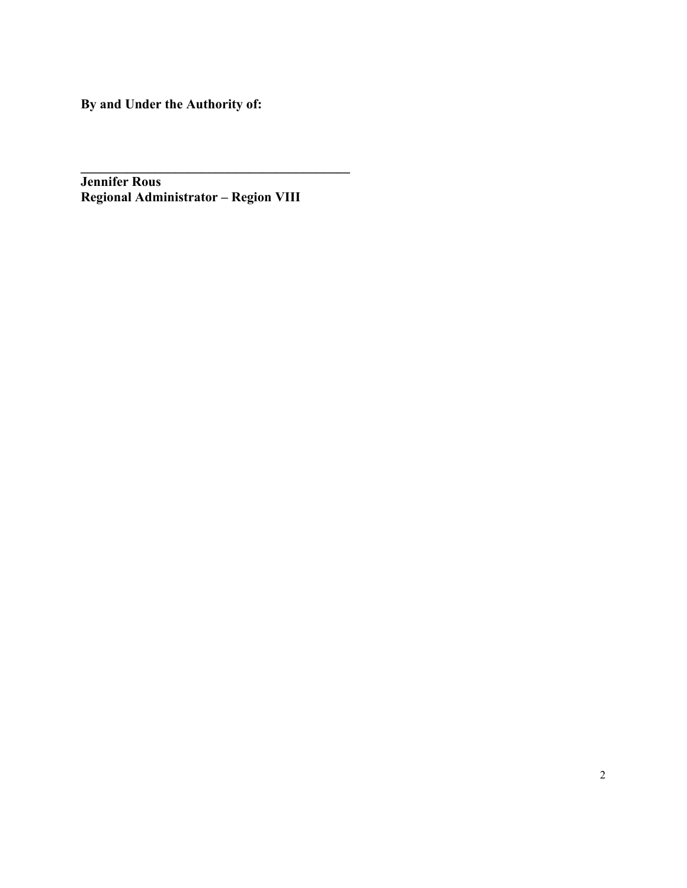**By and Under the Authority of:**

**Jennifer Rous Regional Administrator – Region VIII**

**\_\_\_\_\_\_\_\_\_\_\_\_\_\_\_\_\_\_\_\_\_\_\_\_\_\_\_\_\_\_\_\_\_\_\_\_\_\_\_\_**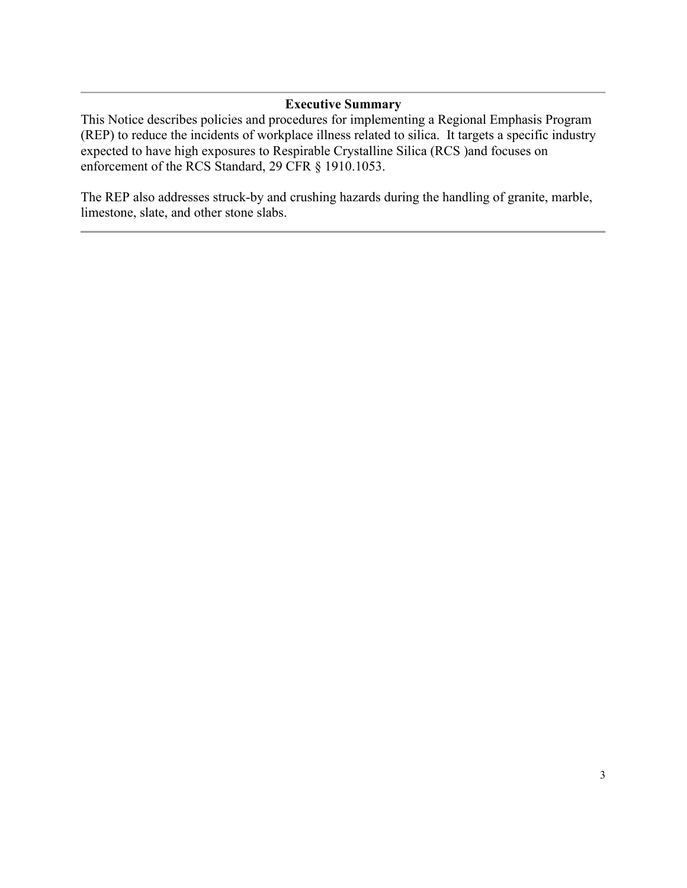### **Executive Summary**

This Notice describes policies and procedures for implementing a Regional Emphasis Program (REP) to reduce the incidents of workplace illness related to silica. It targets a specific industry expected to have high exposures to Respirable Crystalline Silica (RCS )and focuses on enforcement of the RCS Standard, 29 CFR § 1910.1053.

The REP also addresses struck-by and crushing hazards during the handling of granite, marble, limestone, slate, and other stone slabs.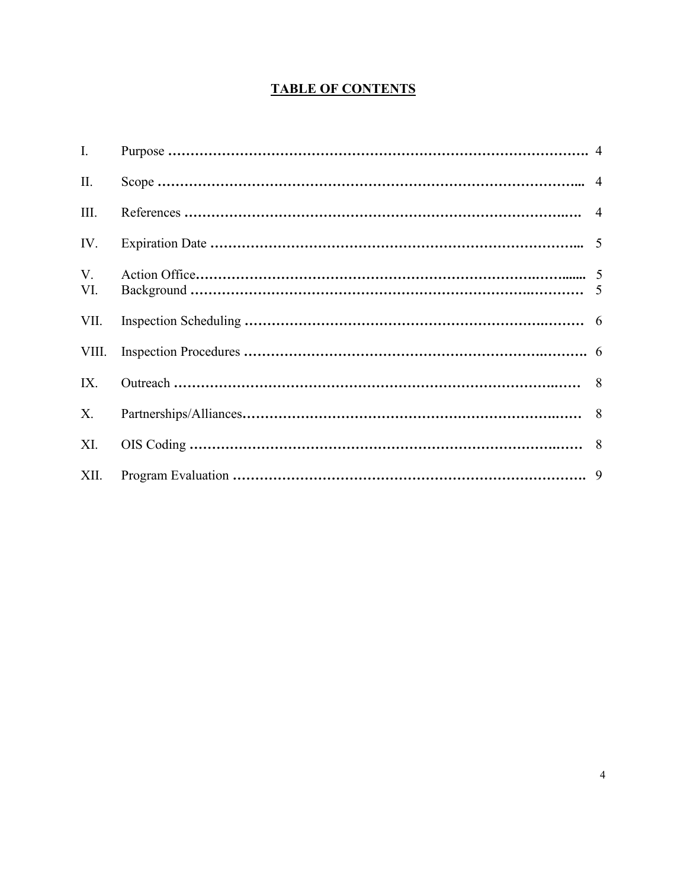# **TABLE OF CONTENTS**

| $\mathbf{I}$ . |  |
|----------------|--|
| II.            |  |
| Ш.             |  |
| IV.            |  |
| V.<br>VI.      |  |
| VII.           |  |
| VIII.          |  |
| IX.            |  |
| X.             |  |
| XI.            |  |
| XII.           |  |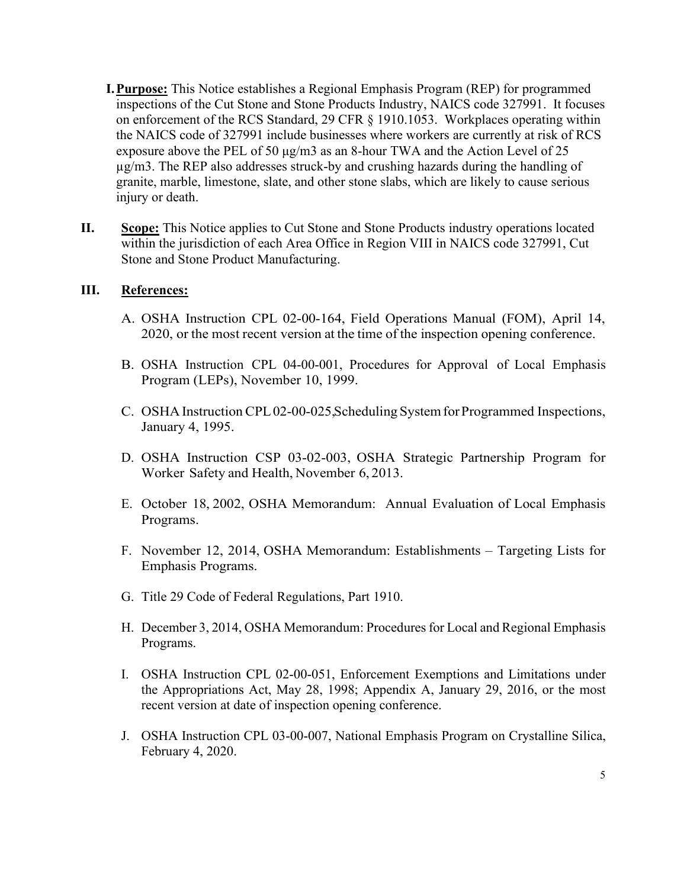- **I.Purpose:** This Notice establishes a Regional Emphasis Program (REP) for programmed inspections of the Cut Stone and Stone Products Industry, NAICS code 327991. It focuses on enforcement of the RCS Standard, 29 CFR § 1910.1053. Workplaces operating within the NAICS code of 327991 include businesses where workers are currently at risk of RCS exposure above the PEL of 50  $\mu$ g/m3 as an 8-hour TWA and the Action Level of 25 µg/m3. The REP also addresses struck-by and crushing hazards during the handling of granite, marble, limestone, slate, and other stone slabs, which are likely to cause serious injury or death.
- **II. Scope:** This Notice applies to Cut Stone and Stone Products industry operations located within the jurisdiction of each Area Office in Region VIII in NAICS code 327991, Cut Stone and Stone Product Manufacturing.

### **III. References:**

- A. OSHA Instruction CPL 02-00-164, Field Operations Manual (FOM), April 14, 2020, or the most recent version at the time of the inspection opening conference.
- B. OSHA Instruction CPL 04-00-001, Procedures for Approval of Local Emphasis Program (LEPs), November 10, 1999.
- C. OSHA Instruction CPL02-00-025, Scheduling System for Programmed Inspections, January 4, 1995.
- D. OSHA Instruction CSP 03-02-003, OSHA Strategic Partnership Program for Worker Safety and Health, November 6, 2013.
- E. October 18, 2002, OSHA Memorandum: Annual Evaluation of Local Emphasis Programs.
- F. November 12, 2014, OSHA Memorandum: Establishments Targeting Lists for Emphasis Programs.
- G. Title 29 Code of Federal Regulations, Part 1910.
- H. December 3, 2014, OSHA Memorandum: Procedures for Local and Regional Emphasis Programs.
- I. OSHA Instruction CPL 02-00-051, Enforcement Exemptions and Limitations under the Appropriations Act, May 28, 1998; Appendix A, January 29, 2016, or the most recent version at date of inspection opening conference.
- J. OSHA Instruction CPL 03-00-007, National Emphasis Program on Crystalline Silica, February 4, 2020.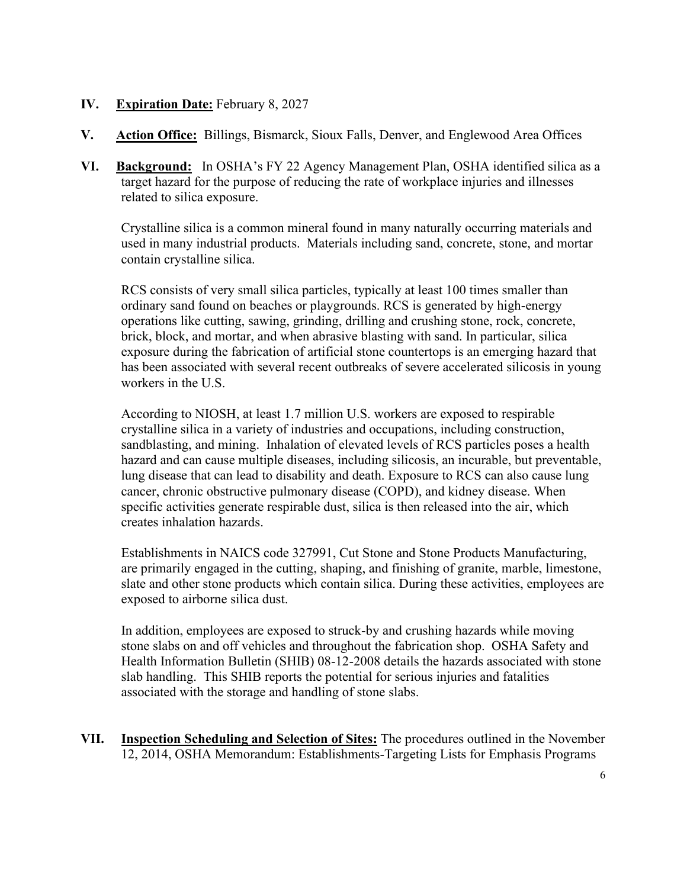## **IV. Expiration Date:** February 8, 2027

- **V. Action Office:** Billings, Bismarck, Sioux Falls, Denver, and Englewood Area Offices
- **VI. Background:** In OSHA's FY 22 Agency Management Plan, OSHA identified silica as a target hazard for the purpose of reducing the rate of workplace injuries and illnesses related to silica exposure.

Crystalline silica is a common mineral found in many naturally occurring materials and used in many industrial products. Materials including sand, concrete, stone, and mortar contain crystalline silica.

RCS consists of very small silica particles, typically at least 100 times smaller than ordinary sand found on beaches or playgrounds. RCS is generated by high-energy operations like cutting, sawing, grinding, drilling and crushing stone, rock, concrete, brick, block, and mortar, and when abrasive blasting with sand. In particular, silica exposure during the fabrication of artificial stone countertops is an emerging hazard that has been associated with several recent outbreaks of severe accelerated silicosis in young workers in the U.S.

According to NIOSH, at least 1.7 million U.S. workers are exposed to respirable crystalline silica in a variety of industries and occupations, including construction, sandblasting, and mining. Inhalation of elevated levels of RCS particles poses a health hazard and can cause multiple diseases, including silicosis, an incurable, but preventable, lung disease that can lead to disability and death. Exposure to RCS can also cause lung cancer, chronic obstructive pulmonary disease (COPD), and kidney disease. When specific activities generate respirable dust, silica is then released into the air, which creates inhalation hazards.

Establishments in NAICS code 327991, Cut Stone and Stone Products Manufacturing, are primarily engaged in the cutting, shaping, and finishing of granite, marble, limestone, slate and other stone products which contain silica. During these activities, employees are exposed to airborne silica dust.

In addition, employees are exposed to struck-by and crushing hazards while moving stone slabs on and off vehicles and throughout the fabrication shop. OSHA Safety and Health Information Bulletin (SHIB) 08-12-2008 details the hazards associated with stone slab handling. This SHIB reports the potential for serious injuries and fatalities associated with the storage and handling of stone slabs.

**VII. Inspection Scheduling and Selection of Sites:** The procedures outlined in the November 12, 2014, OSHA Memorandum: Establishments-Targeting Lists for Emphasis Programs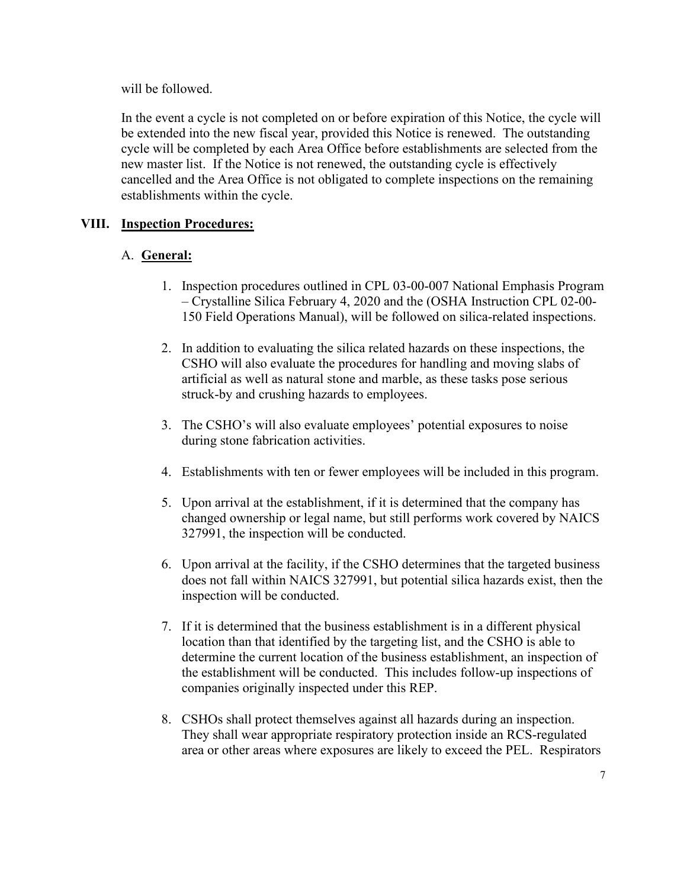will be followed.

In the event a cycle is not completed on or before expiration of this Notice, the cycle will be extended into the new fiscal year, provided this Notice is renewed. The outstanding cycle will be completed by each Area Office before establishments are selected from the new master list. If the Notice is not renewed, the outstanding cycle is effectively cancelled and the Area Office is not obligated to complete inspections on the remaining establishments within the cycle.

# **VIII. Inspection Procedures:**

# A. **General:**

- 1. Inspection procedures outlined in CPL 03-00-007 National Emphasis Program – Crystalline Silica February 4, 2020 and the (OSHA Instruction CPL 02-00- 150 Field Operations Manual), will be followed on silica-related inspections.
- 2. In addition to evaluating the silica related hazards on these inspections, the CSHO will also evaluate the procedures for handling and moving slabs of artificial as well as natural stone and marble, as these tasks pose serious struck-by and crushing hazards to employees.
- 3. The CSHO's will also evaluate employees' potential exposures to noise during stone fabrication activities.
- 4. Establishments with ten or fewer employees will be included in this program.
- 5. Upon arrival at the establishment, if it is determined that the company has changed ownership or legal name, but still performs work covered by NAICS 327991, the inspection will be conducted.
- 6. Upon arrival at the facility, if the CSHO determines that the targeted business does not fall within NAICS 327991, but potential silica hazards exist, then the inspection will be conducted.
- 7. If it is determined that the business establishment is in a different physical location than that identified by the targeting list, and the CSHO is able to determine the current location of the business establishment, an inspection of the establishment will be conducted. This includes follow-up inspections of companies originally inspected under this REP.
- 8. CSHOs shall protect themselves against all hazards during an inspection. They shall wear appropriate respiratory protection inside an RCS-regulated area or other areas where exposures are likely to exceed the PEL. Respirators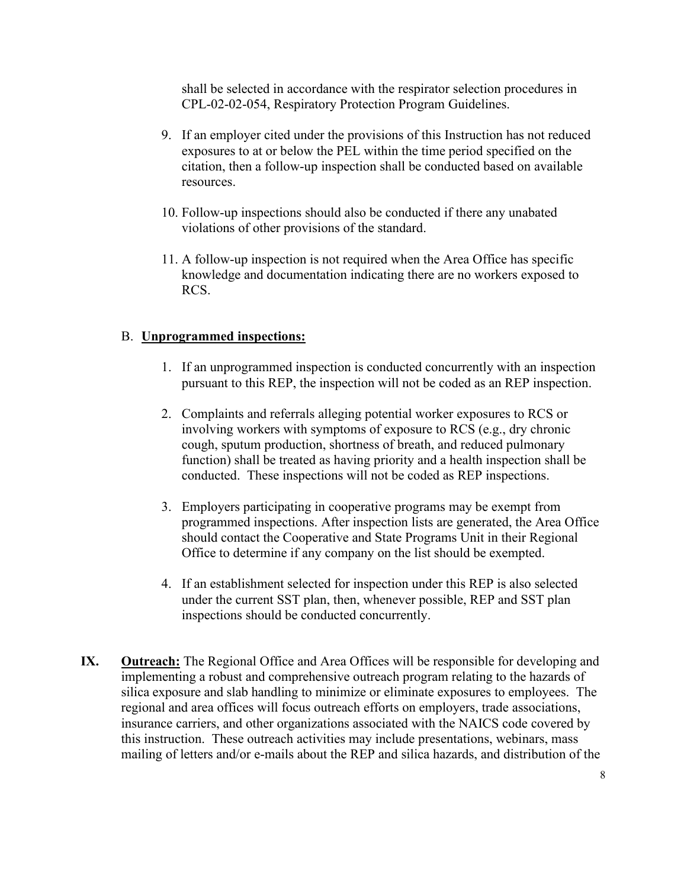shall be selected in accordance with the respirator selection procedures in CPL-02-02-054, Respiratory Protection Program Guidelines.

- 9. If an employer cited under the provisions of this Instruction has not reduced exposures to at or below the PEL within the time period specified on the citation, then a follow-up inspection shall be conducted based on available resources.
- 10. Follow-up inspections should also be conducted if there any unabated violations of other provisions of the standard.
- 11. A follow-up inspection is not required when the Area Office has specific knowledge and documentation indicating there are no workers exposed to RCS.

### B. **Unprogrammed inspections:**

- 1. If an unprogrammed inspection is conducted concurrently with an inspection pursuant to this REP, the inspection will not be coded as an REP inspection.
- 2. Complaints and referrals alleging potential worker exposures to RCS or involving workers with symptoms of exposure to RCS (e.g., dry chronic cough, sputum production, shortness of breath, and reduced pulmonary function) shall be treated as having priority and a health inspection shall be conducted. These inspections will not be coded as REP inspections.
- 3. Employers participating in cooperative programs may be exempt from programmed inspections. After inspection lists are generated, the Area Office should contact the Cooperative and State Programs Unit in their Regional Office to determine if any company on the list should be exempted.
- 4. If an establishment selected for inspection under this REP is also selected under the current SST plan, then, whenever possible, REP and SST plan inspections should be conducted concurrently.
- **IX. Outreach:** The Regional Office and Area Offices will be responsible for developing and implementing a robust and comprehensive outreach program relating to the hazards of silica exposure and slab handling to minimize or eliminate exposures to employees. The regional and area offices will focus outreach efforts on employers, trade associations, insurance carriers, and other organizations associated with the NAICS code covered by this instruction. These outreach activities may include presentations, webinars, mass mailing of letters and/or e-mails about the REP and silica hazards, and distribution of the